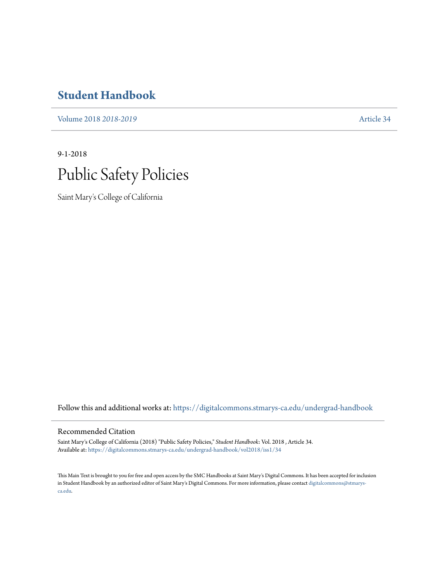# **[Student Handbook](https://digitalcommons.stmarys-ca.edu/undergrad-handbook?utm_source=digitalcommons.stmarys-ca.edu%2Fundergrad-handbook%2Fvol2018%2Fiss1%2F34&utm_medium=PDF&utm_campaign=PDFCoverPages)**

[Volume 2018](https://digitalcommons.stmarys-ca.edu/undergrad-handbook/vol2018?utm_source=digitalcommons.stmarys-ca.edu%2Fundergrad-handbook%2Fvol2018%2Fiss1%2F34&utm_medium=PDF&utm_campaign=PDFCoverPages) *2018-2019* [Article 34](https://digitalcommons.stmarys-ca.edu/undergrad-handbook/vol2018/iss1/34?utm_source=digitalcommons.stmarys-ca.edu%2Fundergrad-handbook%2Fvol2018%2Fiss1%2F34&utm_medium=PDF&utm_campaign=PDFCoverPages)

9-1-2018



Saint Mary's College of California

Follow this and additional works at: [https://digitalcommons.stmarys-ca.edu/undergrad-handbook](https://digitalcommons.stmarys-ca.edu/undergrad-handbook?utm_source=digitalcommons.stmarys-ca.edu%2Fundergrad-handbook%2Fvol2018%2Fiss1%2F34&utm_medium=PDF&utm_campaign=PDFCoverPages)

### Recommended Citation

Saint Mary's College of California (2018) "Public Safety Policies," *Student Handbook*: Vol. 2018 , Article 34. Available at: [https://digitalcommons.stmarys-ca.edu/undergrad-handbook/vol2018/iss1/34](https://digitalcommons.stmarys-ca.edu/undergrad-handbook/vol2018/iss1/34?utm_source=digitalcommons.stmarys-ca.edu%2Fundergrad-handbook%2Fvol2018%2Fiss1%2F34&utm_medium=PDF&utm_campaign=PDFCoverPages)

This Main Text is brought to you for free and open access by the SMC Handbooks at Saint Mary's Digital Commons. It has been accepted for inclusion in Student Handbook by an authorized editor of Saint Mary's Digital Commons. For more information, please contact [digitalcommons@stmarys](mailto:digitalcommons@stmarys-ca.edu)[ca.edu](mailto:digitalcommons@stmarys-ca.edu).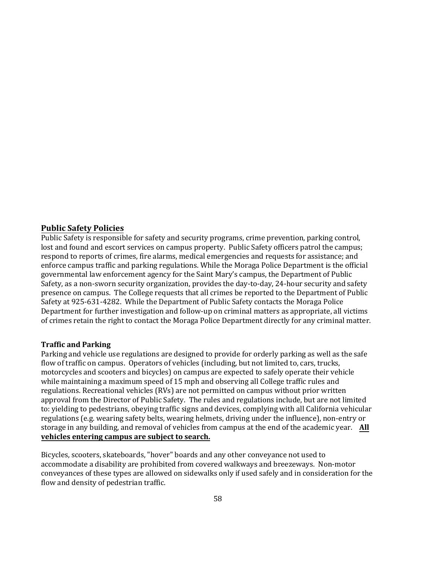## **Public Safety Policies**

Public Safety is responsible for safety and security programs, crime prevention, parking control, lost and found and escort services on campus property. Public Safety officers patrol the campus; respond to reports of crimes, fire alarms, medical emergencies and requests for assistance; and enforce campus traffic and parking regulations. While the Moraga Police Department is the official governmental law enforcement agency for the Saint Mary's campus, the Department of Public Safety, as a non-sworn security organization, provides the day-to-day, 24-hour security and safety presence on campus. The College requests that all crimes be reported to the Department of Public Safety at 925-631-4282. While the Department of Public Safety contacts the Moraga Police Department for further investigation and follow-up on criminal matters as appropriate, all victims of crimes retain the right to contact the Moraga Police Department directly for any criminal matter.

## **Traffic and Parking**

Parking and vehicle use regulations are designed to provide for orderly parking as well as the safe flow of traffic on campus. Operators of vehicles (including, but not limited to, cars, trucks, motorcycles and scooters and bicycles) on campus are expected to safely operate their vehicle while maintaining a maximum speed of 15 mph and observing all College traffic rules and regulations. Recreational vehicles (RVs) are not permitted on campus without prior written approval from the Director of Public Safety. The rules and regulations include, but are not limited to: yielding to pedestrians, obeying traffic signs and devices, complying with all California vehicular regulations (e.g. wearing safety belts, wearing helmets, driving under the influence), non-entry or storage in any building, and removal of vehicles from campus at the end of the academic year. **All vehicles entering campus are subject to search.**

Bicycles, scooters, skateboards, "hover" boards and any other conveyance not used to accommodate a disability are prohibited from covered walkways and breezeways. Non-motor conveyances of these types are allowed on sidewalks only if used safely and in consideration for the flow and density of pedestrian traffic.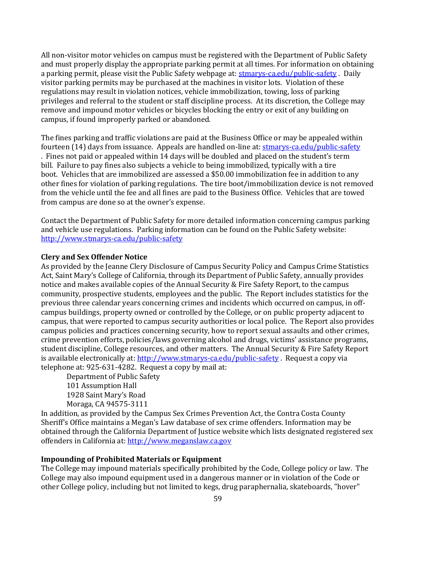All non-visitor motor vehicles on campus must be registered with the Department of Public Safety and must properly display the appropriate parking permit at all times. For information on obtaining a parking permit, please visit the Public Safety webpage at: [stmarys-ca.edu/public-safety](http://www.stmarys-ca.edu/public-safety) . Daily visitor parking permits may be purchased at the machines in visitor lots. Violation of these regulations may result in violation notices, vehicle immobilization, towing, loss of parking privileges and referral to the student or staff discipline process. At its discretion, the College may remove and impound motor vehicles or bicycles blocking the entry or exit of any building on campus, if found improperly parked or abandoned.

The fines parking and traffic violations are paid at the Business Office or may be appealed within fourteen (14) days from issuance. Appeals are handled on-line at[: stmarys-ca.edu/public-safety](http://www.stmarys-ca.edu/public-safety) . Fines not paid or appealed within 14 days will be doubled and placed on the student's term bill. Failure to pay fines also subjects a vehicle to being immobilized, typically with a tire boot. Vehicles that are immobilized are assessed a \$50.00 immobilization fee in addition to any other fines for violation of parking regulations. The tire boot/immobilization device is not removed from the vehicle until the fee and all fines are paid to the Business Office. Vehicles that are towed from campus are done so at the owner's expense.

Contact the Department of Public Safety for more detailed information concerning campus parking and vehicle use regulations. Parking information can be found on the Public Safety website: <http://www.stmarys-ca.edu/public-safety>

#### **Clery and Sex Offender Notice**

As provided by the Jeanne Clery Disclosure of Campus Security Policy and Campus Crime Statistics Act, Saint Mary's College of California, through its Department of Public Safety, annually provides notice and makes available copies of the Annual Security & Fire Safety Report, to the campus community, prospective students, employees and the public. The Report includes statistics for the previous three calendar years concerning crimes and incidents which occurred on campus, in offcampus buildings, property owned or controlled by the College, or on public property adjacent to campus, that were reported to campus security authorities or local police. The Report also provides campus policies and practices concerning security, how to report sexual assaults and other crimes, crime prevention efforts, policies/laws governing alcohol and drugs, victims' assistance programs, student discipline, College resources, and other matters. The Annual Security & Fire Safety Report is available electronically at[: http://www.stmarys-ca.edu/public-safety](http://www.stmarys-ca.edu/public-safety). Request a copy via telephone at: 925-631-4282. Request a copy by mail at:

Department of Public Safety 101 Assumption Hall 1928 Saint Mary's Road Moraga, CA 94575-3111

In addition, as provided by the Campus Sex Crimes Prevention Act, the Contra Costa County Sheriff's Office maintains a Megan's Law database of sex crime offenders. Information may be obtained through the California Department of Justice website which lists designated registered sex offenders in California at: [http://www.meganslaw.ca.gov](http://www.meganslaw.ca.gov/) 

#### **Impounding of Prohibited Materials or Equipment**

The College may impound materials specifically prohibited by the Code, College policy or law. The College may also impound equipment used in a dangerous manner or in violation of the Code or other College policy, including but not limited to kegs, drug paraphernalia, skateboards, "hover"